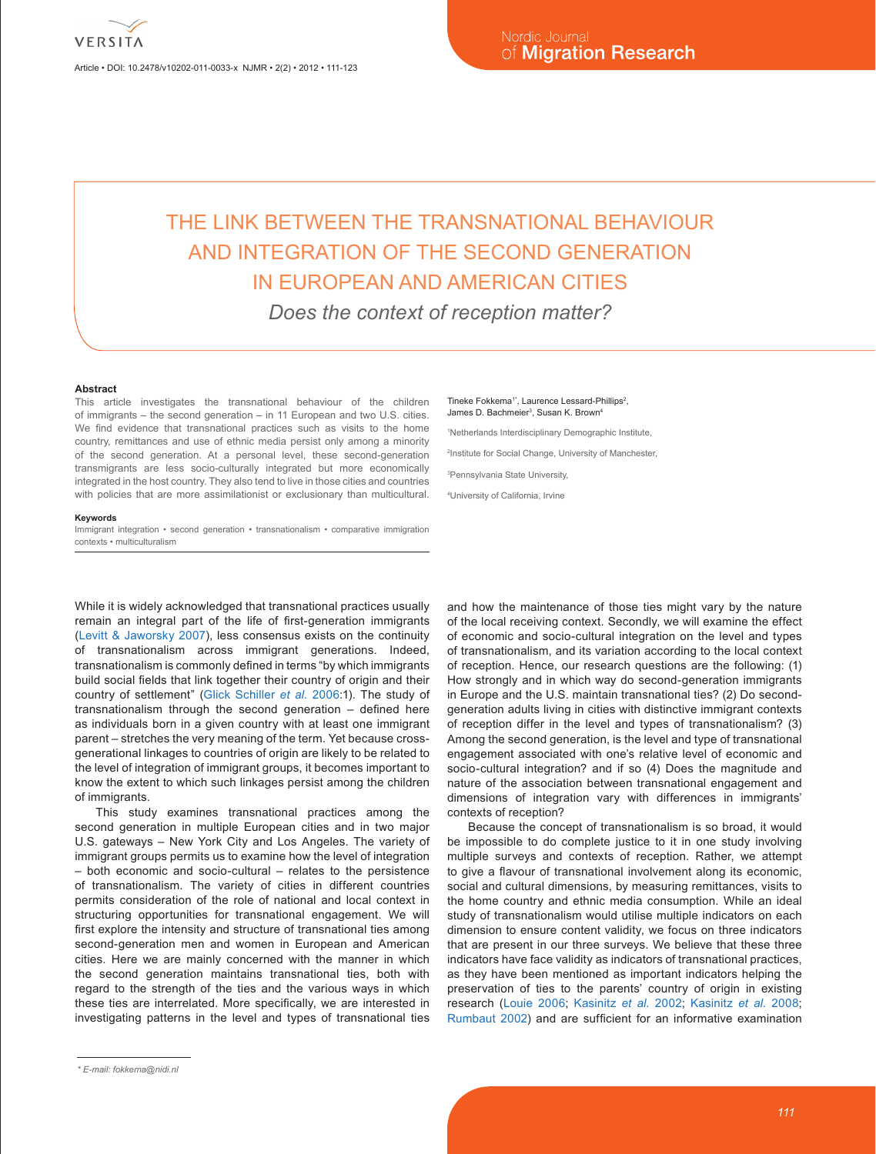Article • DOI: 10.2478/v10202-011-0033-x NJMR • 2(2) • 2012 • 111-123

# THE LINK BETWEEN THE TRANSNATIONAL BEHAVIOUR AND INTEGRATION OF THE SECOND GENERATION IN EUROPEAN AND AMERICAN CITIES *Does the context of reception matter?*

#### **Abstract**

This article investigates the transnational behaviour of the children of immigrants – the second generation – in 11 European and two U.S. cities. We find evidence that transnational practices such as visits to the home country, remittances and use of ethnic media persist only among a minority of the second generation. At a personal level, these second-generation transmigrants are less socio-culturally integrated but more economically integrated in the host country. They also tend to live in those cities and countries with policies that are more assimilationist or exclusionary than multicultural.

#### **Keywords**

Immigrant integration • second generation • transnationalism • comparative immigration contexts • multiculturalism

While it is widely acknowledged that transnational practices usually remain an integral part of the life of first-generation immigrants ([Levitt & Jaworsky 2007\)](#page-12-0), less consensus exists on the continuity of transnationalism across immigrant generations. Indeed, transnationalism is commonly defined in terms "by which immigrants build social fields that link together their country of origin and their country of settlement" ([Glick Schiller](#page-11-0) *et al.* 2006:1). The study of transnationalism through the second generation – defined here as individuals born in a given country with at least one immigrant parent – stretches the very meaning of the term. Yet because crossgenerational linkages to countries of origin are likely to be related to the level of integration of immigrant groups, it becomes important to know the extent to which such linkages persist among the children of immigrants.

This study examines transnational practices among the second generation in multiple European cities and in two major U.S. gateways – New York City and Los Angeles. The variety of immigrant groups permits us to examine how the level of integration – both economic and socio-cultural – relates to the persistence of transnationalism. The variety of cities in different countries permits consideration of the role of national and local context in structuring opportunities for transnational engagement. We will first explore the intensity and structure of transnational ties among second-generation men and women in European and American cities. Here we are mainly concerned with the manner in which the second generation maintains transnational ties, both with regard to the strength of the ties and the various ways in which these ties are interrelated. More specifically, we are interested in investigating patterns in the level and types of transnational ties

#### Tineke Fokkema<sup>1</sup>, Laurence Lessard-Phillips<sup>2</sup>, James D. Bachmeier<sup>3</sup>, Susan K. Brown<sup>4</sup>

1 Netherlands Interdisciplinary Demographic Institute,

2 Institute for Social Change, University of Manchester,

3 Pennsylvania State University,

4 University of California, Irvine

and how the maintenance of those ties might vary by the nature of the local receiving context. Secondly, we will examine the effect of economic and socio-cultural integration on the level and types of transnationalism, and its variation according to the local context of reception. Hence, our research questions are the following: (1) How strongly and in which way do second-generation immigrants in Europe and the U.S. maintain transnational ties? (2) Do secondgeneration adults living in cities with distinctive immigrant contexts of reception differ in the level and types of transnationalism? (3) Among the second generation, is the level and type of transnational engagement associated with one's relative level of economic and socio-cultural integration? and if so (4) Does the magnitude and nature of the association between transnational engagement and dimensions of integration vary with differences in immigrants' contexts of reception?

Because the concept of transnationalism is so broad, it would be impossible to do complete justice to it in one study involving multiple surveys and contexts of reception. Rather, we attempt to give a flavour of transnational involvement along its economic, social and cultural dimensions, by measuring remittances, visits to the home country and ethnic media consumption. While an ideal study of transnationalism would utilise multiple indicators on each dimension to ensure content validity, we focus on three indicators that are present in our three surveys. We believe that these three indicators have face validity as indicators of transnational practices, as they have been mentioned as important indicators helping the preservation of ties to the parents' country of origin in existing research [\(Louie 200](#page-12-1)6; [Kasinitz](#page-11-1) *et al.* 2002; [Kasinitz](#page-11-2) *et al.* 2008; [Rumbaut 2002](#page-12-2)) and are sufficient for an informative examination

*<sup>\*</sup> E-mail: fokkema@nidi.nl*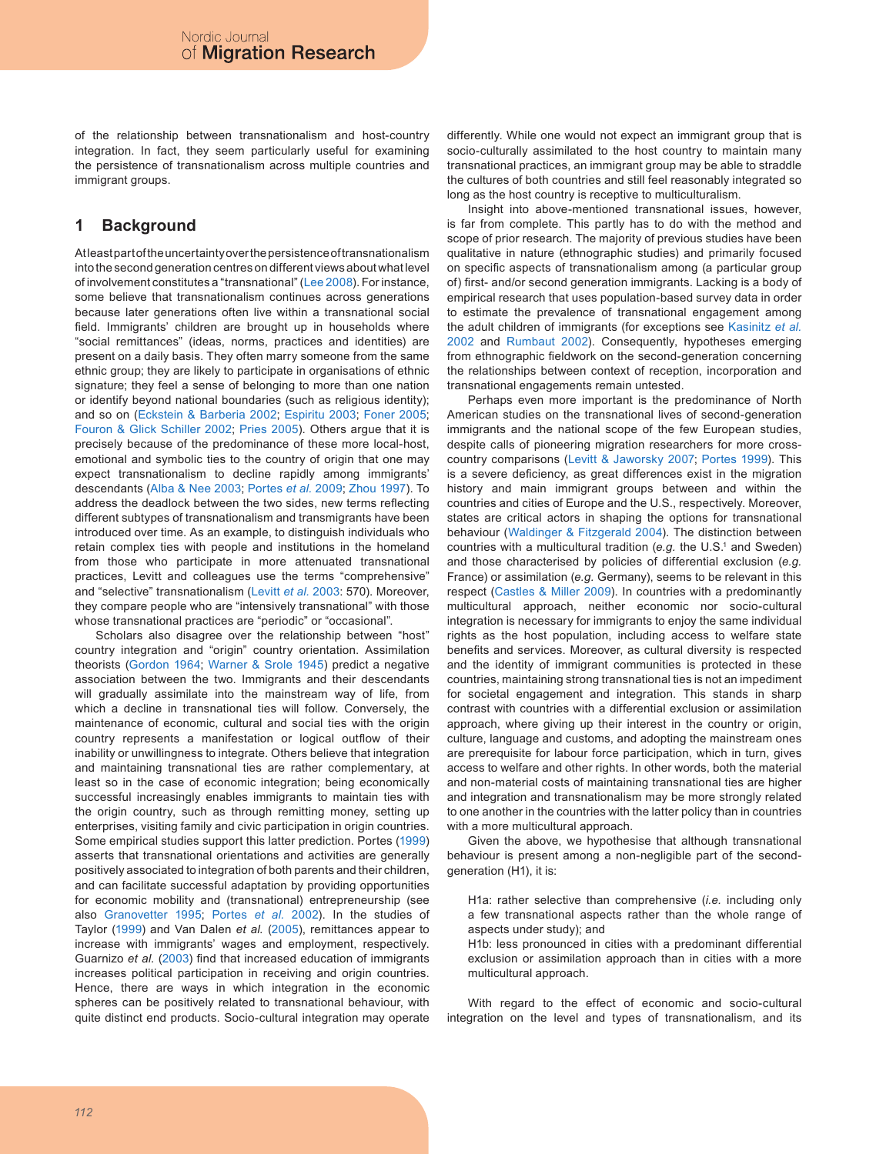of the relationship between transnationalism and host-country integration. In fact, they seem particularly useful for examining the persistence of transnationalism across multiple countries and immigrant groups.

### **1 Background**

At least part of the uncertainty over the persistence of transnationalism into the second generation centres on different views about what level of involvement constitutes a "transnational" ([Lee 2008\)](#page-11-3). For instance, some believe that transnationalism continues across generations because later generations often live within a transnational social field. Immigrants' children are brought up in households where "social remittances" (ideas, norms, practices and identities) are present on a daily basis. They often marry someone from the same ethnic group; they are likely to participate in organisations of ethnic signature; they feel a sense of belonging to more than one nation or identify beyond national boundaries (such as religious identity); and so on ([Eckstein & Barberia 2002](#page-11-4); [Espiritu 2003](#page-11-5); [Foner 200](#page-11-6)5; [Fouron & Glick Schiller 2002](#page-11-7); [Pries 200](#page-12-3)5). Others argue that it is precisely because of the predominance of these more local-host, emotional and symbolic ties to the country of origin that one may expect transnationalism to decline rapidly among immigrants' descendants [\(Alba & Nee 2003](#page-11-8); [Portes](#page-12-4) *et al.* 2009; [Zhou 1997](#page-12-5)). To address the deadlock between the two sides, new terms reflecting different subtypes of transnationalism and transmigrants have been introduced over time. As an example, to distinguish individuals who retain complex ties with people and institutions in the homeland from those who participate in more attenuated transnational practices, Levitt and colleagues use the terms "comprehensive" and "selective" transnationalism ([Levitt](#page-12-6) *et al.* 2003: 570). Moreover, they compare people who are "intensively transnational" with those whose transnational practices are "periodic" or "occasional".

Scholars also disagree over the relationship between "host" country integration and "origin" country orientation. Assimilation theorists ([Gordon 1964](#page-11-9); [Warner & Srole 194](#page-12-7)5) predict a negative association between the two. Immigrants and their descendants will gradually assimilate into the mainstream way of life, from which a decline in transnational ties will follow. Conversely, the maintenance of economic, cultural and social ties with the origin country represents a manifestation or logical outflow of their inability or unwillingness to integrate. Others believe that integration and maintaining transnational ties are rather complementary, at least so in the case of economic integration; being economically successful increasingly enables immigrants to maintain ties with the origin country, such as through remitting money, setting up enterprises, visiting family and civic participation in origin countries. Some empirical studies support this latter prediction. Portes [\(199](#page-12-8)9) asserts that transnational orientations and activities are generally positively associated to integration of both parents and their children, and can facilitate successful adaptation by providing opportunities for economic mobility and (transnational) entrepreneurship (see also [Granovetter 199](#page-11-10)5; [Portes](#page-12-9) *et al.* 2002). In the studies of Taylor [\(199](#page-12-10)9) and Van Dalen *et al.* ([200](#page-12-11)5), remittances appear to increase with immigrants' wages and employment, respectively. Guarnizo *et al.* [\(2003](#page-11-11)) find that increased education of immigrants increases political participation in receiving and origin countries. Hence, there are ways in which integration in the economic spheres can be positively related to transnational behaviour, with quite distinct end products. Socio-cultural integration may operate differently. While one would not expect an immigrant group that is socio-culturally assimilated to the host country to maintain many transnational practices, an immigrant group may be able to straddle the cultures of both countries and still feel reasonably integrated so long as the host country is receptive to multiculturalism.

Insight into above-mentioned transnational issues, however, is far from complete. This partly has to do with the method and scope of prior research. The majority of previous studies have been qualitative in nature (ethnographic studies) and primarily focused on specific aspects of transnationalism among (a particular group of) first- and/or second generation immigrants. Lacking is a body of empirical research that uses population-based survey data in order to estimate the prevalence of transnational engagement among the adult children of immigrants (for exceptions see [Kasinitz](#page-11-1) *et al.* [2002](#page-11-1) and [Rumbaut 2002\)](#page-12-2). Consequently, hypotheses emerging from ethnographic fieldwork on the second-generation concerning the relationships between context of reception, incorporation and transnational engagements remain untested.

Perhaps even more important is the predominance of North American studies on the transnational lives of second-generation immigrants and the national scope of the few European studies, despite calls of pioneering migration researchers for more crosscountry comparisons [\(Levitt & Jaworsky 2007](#page-12-0); [Portes 199](#page-12-8)9). This is a severe deficiency, as great differences exist in the migration history and main immigrant groups between and within the countries and cities of Europe and the U.S., respectively. Moreover, states are critical actors in shaping the options for transnational behaviour ([Waldinger & Fitzgerald 2004](#page-12-12)). The distinction between countries with a multicultural tradition (e.g. the U.S.<sup>1</sup> and Sweden) and those characterised by policies of differential exclusion (*e.g.* France) or assimilation (*e.g.* Germany), seems to be relevant in this respect [\(Castles & Miller 200](#page-11-12)9). In countries with a predominantly multicultural approach, neither economic nor socio-cultural integration is necessary for immigrants to enjoy the same individual rights as the host population, including access to welfare state benefits and services. Moreover, as cultural diversity is respected and the identity of immigrant communities is protected in these countries, maintaining strong transnational ties is not an impediment for societal engagement and integration. This stands in sharp contrast with countries with a differential exclusion or assimilation approach, where giving up their interest in the country or origin, culture, language and customs, and adopting the mainstream ones are prerequisite for labour force participation, which in turn, gives access to welfare and other rights. In other words, both the material and non-material costs of maintaining transnational ties are higher and integration and transnationalism may be more strongly related to one another in the countries with the latter policy than in countries with a more multicultural approach.

Given the above, we hypothesise that although transnational behaviour is present among a non-negligible part of the secondgeneration (H1), it is:

H1a: rather selective than comprehensive (*i.e.* including only a few transnational aspects rather than the whole range of aspects under study); and

H1b: less pronounced in cities with a predominant differential exclusion or assimilation approach than in cities with a more multicultural approach.

With regard to the effect of economic and socio-cultural integration on the level and types of transnationalism, and its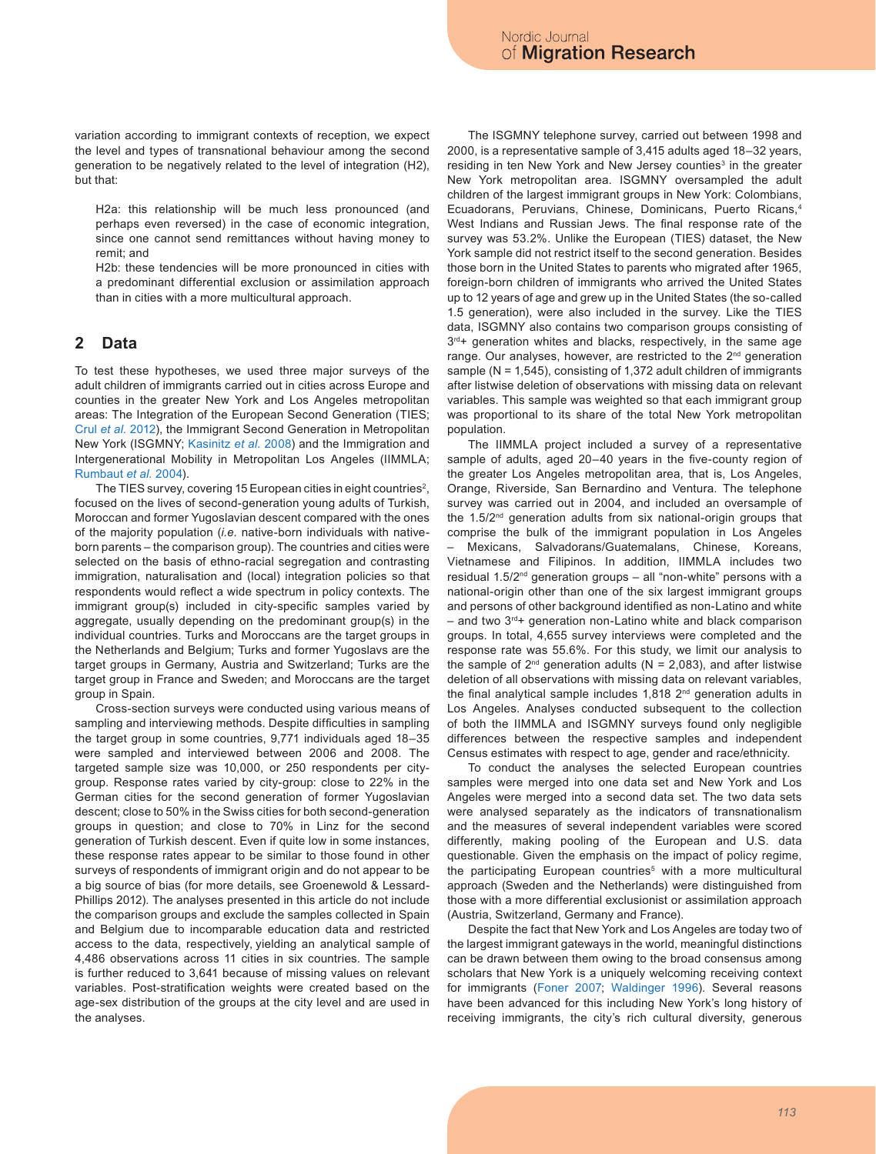variation according to immigrant contexts of reception, we expect the level and types of transnational behaviour among the second generation to be negatively related to the level of integration (H2), but that:

H2a: this relationship will be much less pronounced (and perhaps even reversed) in the case of economic integration, since one cannot send remittances without having money to remit; and

H2b: these tendencies will be more pronounced in cities with a predominant differential exclusion or assimilation approach than in cities with a more multicultural approach.

## **2 Data**

To test these hypotheses, we used three major surveys of the adult children of immigrants carried out in cities across Europe and counties in the greater New York and Los Angeles metropolitan areas: The Integration of the European Second Generation (TIES; Crul *et al.* [2012\)](#page-11-13), the Immigrant Second Generation in Metropolitan New York (ISGMNY; [Kasinitz](#page-11-2) *et al.* 2008) and the Immigration and Intergenerational Mobility in Metropolitan Los Angeles (IIMMLA; [Rumbaut](#page-12-13) *et al.* 2004).

The TIES survey, covering 15 European cities in eight countries<sup>2</sup>, focused on the lives of second-generation young adults of Turkish, Moroccan and former Yugoslavian descent compared with the ones of the majority population (*i.e.* native-born individuals with nativeborn parents – the comparison group). The countries and cities were selected on the basis of ethno-racial segregation and contrasting immigration, naturalisation and (local) integration policies so that respondents would reflect a wide spectrum in policy contexts. The immigrant group(s) included in city-specific samples varied by aggregate, usually depending on the predominant group(s) in the individual countries. Turks and Moroccans are the target groups in the Netherlands and Belgium; Turks and former Yugoslavs are the target groups in Germany, Austria and Switzerland; Turks are the target group in France and Sweden; and Moroccans are the target group in Spain.

Cross-section surveys were conducted using various means of sampling and interviewing methods. Despite difficulties in sampling the target group in some countries, 9,771 individuals aged 18–35 were sampled and interviewed between 2006 and 2008. The targeted sample size was 10,000, or 250 respondents per citygroup. Response rates varied by city-group: close to 22% in the German cities for the second generation of former Yugoslavian descent; close to 50% in the Swiss cities for both second-generation groups in question; and close to 70% in Linz for the second generation of Turkish descent. Even if quite low in some instances, these response rates appear to be similar to those found in other surveys of respondents of immigrant origin and do not appear to be a big source of bias (for more details, see Groenewold & Lessard-Phillips 2012). The analyses presented in this article do not include the comparison groups and exclude the samples collected in Spain and Belgium due to incomparable education data and restricted access to the data, respectively, yielding an analytical sample of 4,486 observations across 11 cities in six countries. The sample is further reduced to 3,641 because of missing values on relevant variables. Post-stratification weights were created based on the age-sex distribution of the groups at the city level and are used in the analyses.

The ISGMNY telephone survey, carried out between 1998 and 2000, is a representative sample of 3,415 adults aged 18–32 years, residing in ten New York and New Jersey counties<sup>3</sup> in the greater New York metropolitan area. ISGMNY oversampled the adult children of the largest immigrant groups in New York: Colombians, Ecuadorans, Peruvians, Chinese, Dominicans, Puerto Ricans,4 West Indians and Russian Jews. The final response rate of the survey was 53.2%. Unlike the European (TIES) dataset, the New York sample did not restrict itself to the second generation. Besides those born in the United States to parents who migrated after 1965, foreign-born children of immigrants who arrived the United States up to 12 years of age and grew up in the United States (the so-called 1.5 generation), were also included in the survey. Like the TIES data, ISGMNY also contains two comparison groups consisting of  $3<sup>rd</sup>$ + generation whites and blacks, respectively, in the same age range. Our analyses, however, are restricted to the 2<sup>nd</sup> generation sample (N = 1,545), consisting of 1,372 adult children of immigrants after listwise deletion of observations with missing data on relevant variables. This sample was weighted so that each immigrant group was proportional to its share of the total New York metropolitan population.

The IIMMLA project included a survey of a representative sample of adults, aged 20–40 years in the five-county region of the greater Los Angeles metropolitan area, that is, Los Angeles, Orange, Riverside, San Bernardino and Ventura. The telephone survey was carried out in 2004, and included an oversample of the 1.5/2nd generation adults from six national-origin groups that comprise the bulk of the immigrant population in Los Angeles – Mexicans, Salvadorans/Guatemalans, Chinese, Koreans, Vietnamese and Filipinos. In addition, IIMMLA includes two residual 1.5/2<sup>nd</sup> generation groups – all "non-white" persons with a national-origin other than one of the six largest immigrant groups and persons of other background identified as non-Latino and white  $-$  and two  $3<sup>rd</sup>$ + generation non-Latino white and black comparison groups. In total, 4,655 survey interviews were completed and the response rate was 55.6%. For this study, we limit our analysis to the sample of  $2^{nd}$  generation adults (N = 2,083), and after listwise deletion of all observations with missing data on relevant variables, the final analytical sample includes 1,818 2<sup>nd</sup> generation adults in Los Angeles. Analyses conducted subsequent to the collection of both the IIMMLA and ISGMNY surveys found only negligible differences between the respective samples and independent Census estimates with respect to age, gender and race/ethnicity.

To conduct the analyses the selected European countries samples were merged into one data set and New York and Los Angeles were merged into a second data set. The two data sets were analysed separately as the indicators of transnationalism and the measures of several independent variables were scored differently, making pooling of the European and U.S. data questionable. Given the emphasis on the impact of policy regime, the participating European countries<sup>5</sup> with a more multicultural approach (Sweden and the Netherlands) were distinguished from those with a more differential exclusionist or assimilation approach (Austria, Switzerland, Germany and France).

Despite the fact that New York and Los Angeles are today two of the largest immigrant gateways in the world, meaningful distinctions can be drawn between them owing to the broad consensus among scholars that New York is a uniquely welcoming receiving context for immigrants [\(Foner 2007](#page-11-14); [Waldinger 199](#page-12-14)6). Several reasons have been advanced for this including New York's long history of receiving immigrants, the city's rich cultural diversity, generous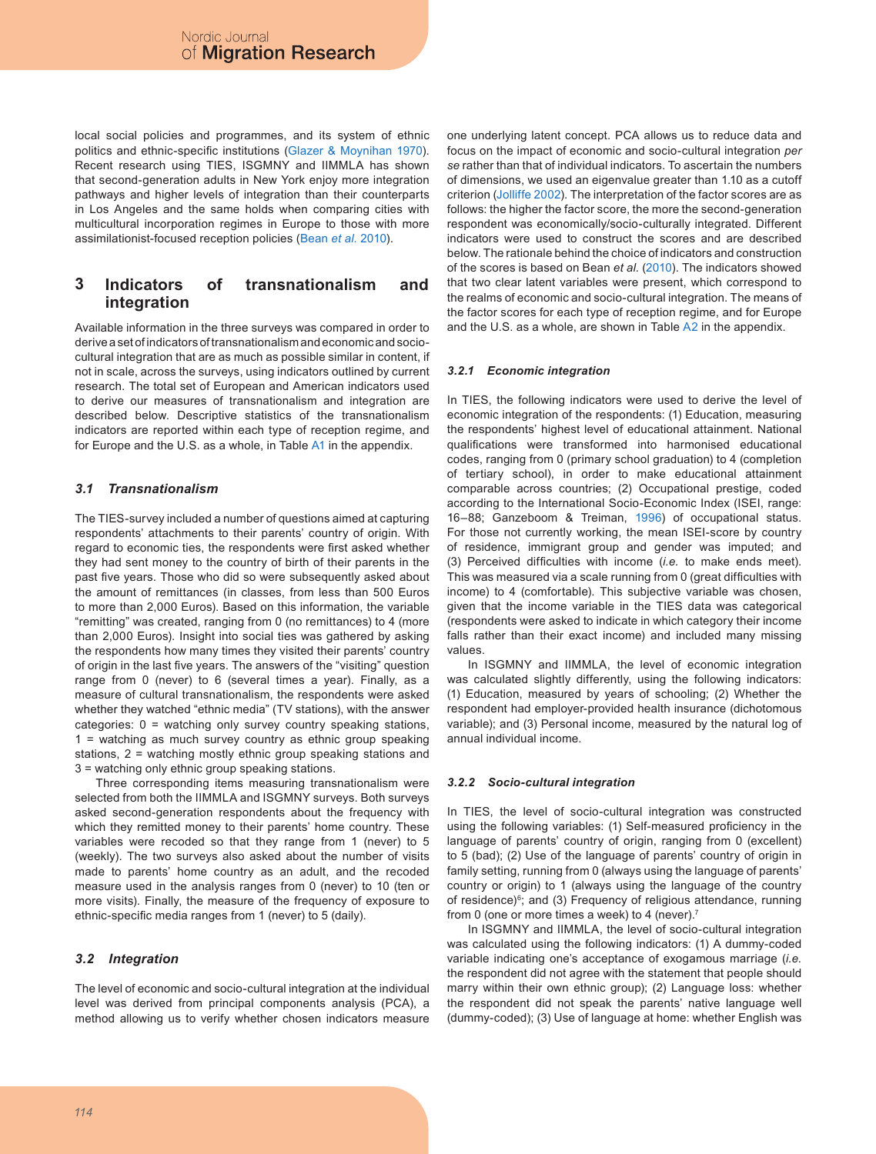local social policies and programmes, and its system of ethnic politics and ethnic-specific institutions ([Glazer & Moynihan 1970](#page-11-15)). Recent research using TIES, ISGMNY and IIMMLA has shown that second-generation adults in New York enjoy more integration pathways and higher levels of integration than their counterparts in Los Angeles and the same holds when comparing cities with multicultural incorporation regimes in Europe to those with more assimilationist-focused reception policies ([Bean](#page-11-16) *et al.* 2010).

#### **3 Indicators of transnationalism and integration**

Available information in the three surveys was compared in order to derive a set of indicators of transnationalism and economic and sociocultural integration that are as much as possible similar in content, if not in scale, across the surveys, using indicators outlined by current research. The total set of European and American indicators used to derive our measures of transnationalism and integration are described below. Descriptive statistics of the transnationalism indicators are reported within each type of reception regime, and for Europe and the U.S. as a whole, in Table [A](#page-9-0)1 in the appendix.

### *3.1 Transnationalism*

The TIES-survey included a number of questions aimed at capturing respondents' attachments to their parents' country of origin. With regard to economic ties, the respondents were first asked whether they had sent money to the country of birth of their parents in the past five years. Those who did so were subsequently asked about the amount of remittances (in classes, from less than 500 Euros to more than 2,000 Euros). Based on this information, the variable "remitting" was created, ranging from 0 (no remittances) to 4 (more than 2,000 Euros). Insight into social ties was gathered by asking the respondents how many times they visited their parents' country of origin in the last five years. The answers of the "visiting" question range from 0 (never) to 6 (several times a year). Finally, as a measure of cultural transnationalism, the respondents were asked whether they watched "ethnic media" (TV stations), with the answer categories: 0 = watching only survey country speaking stations, 1 = watching as much survey country as ethnic group speaking stations, 2 = watching mostly ethnic group speaking stations and 3 = watching only ethnic group speaking stations.

Three corresponding items measuring transnationalism were selected from both the IIMMLA and ISGMNY surveys. Both surveys asked second-generation respondents about the frequency with which they remitted money to their parents' home country. These variables were recoded so that they range from 1 (never) to 5 (weekly). The two surveys also asked about the number of visits made to parents' home country as an adult, and the recoded measure used in the analysis ranges from 0 (never) to 10 (ten or more visits). Finally, the measure of the frequency of exposure to ethnic-specific media ranges from 1 (never) to 5 (daily).

### *3.2 Integration*

The level of economic and socio-cultural integration at the individual level was derived from principal components analysis (PCA), a method allowing us to verify whether chosen indicators measure one underlying latent concept. PCA allows us to reduce data and focus on the impact of economic and socio-cultural integration *per se* rather than that of individual indicators. To ascertain the numbers of dimensions, we used an eigenvalue greater than 1.10 as a cutoff criterion ([Jolliffe 2002](#page-11-17)). The interpretation of the factor scores are as follows: the higher the factor score, the more the second-generation respondent was economically/socio-culturally integrated. Different indicators were used to construct the scores and are described below. The rationale behind the choice of indicators and construction of the scores is based on Bean *et al.* [\(2010\)](#page-11-16). The indicators showed that two clear latent variables were present, which correspond to the realms of economic and socio-cultural integration. The means of the factor scores for each type of reception regime, and for Europe and the U.S. as a whole, are shown in Table [A](#page-10-0)2 in the appendix.

#### *3.2.1 Economic integration*

In TIES, the following indicators were used to derive the level of economic integration of the respondents: (1) Education, measuring the respondents' highest level of educational attainment. National qualifications were transformed into harmonised educational codes, ranging from 0 (primary school graduation) to 4 (completion of tertiary school), in order to make educational attainment comparable across countries; (2) Occupational prestige, coded according to the International Socio-Economic Index (ISEI, range: 16–88; Ganzeboom & Treiman, [199](#page-11-18)6) of occupational status. For those not currently working, the mean ISEI-score by country of residence, immigrant group and gender was imputed; and (3) Perceived difficulties with income (*i.e.* to make ends meet). This was measured via a scale running from 0 (great difficulties with income) to 4 (comfortable). This subjective variable was chosen, given that the income variable in the TIES data was categorical (respondents were asked to indicate in which category their income falls rather than their exact income) and included many missing values.

In ISGMNY and IIMMLA, the level of economic integration was calculated slightly differently, using the following indicators: (1) Education, measured by years of schooling; (2) Whether the respondent had employer-provided health insurance (dichotomous variable); and (3) Personal income, measured by the natural log of annual individual income.

#### *3.2.2 Socio-cultural integration*

In TIES, the level of socio-cultural integration was constructed using the following variables: (1) Self-measured proficiency in the language of parents' country of origin, ranging from 0 (excellent) to 5 (bad); (2) Use of the language of parents' country of origin in family setting, running from 0 (always using the language of parents' country or origin) to 1 (always using the language of the country of residence)<sup>6</sup>; and (3) Frequency of religious attendance, running from 0 (one or more times a week) to 4 (never).7

In ISGMNY and IIMMLA, the level of socio-cultural integration was calculated using the following indicators: (1) A dummy-coded variable indicating one's acceptance of exogamous marriage (*i.e.* the respondent did not agree with the statement that people should marry within their own ethnic group); (2) Language loss: whether the respondent did not speak the parents' native language well (dummy-coded); (3) Use of language at home: whether English was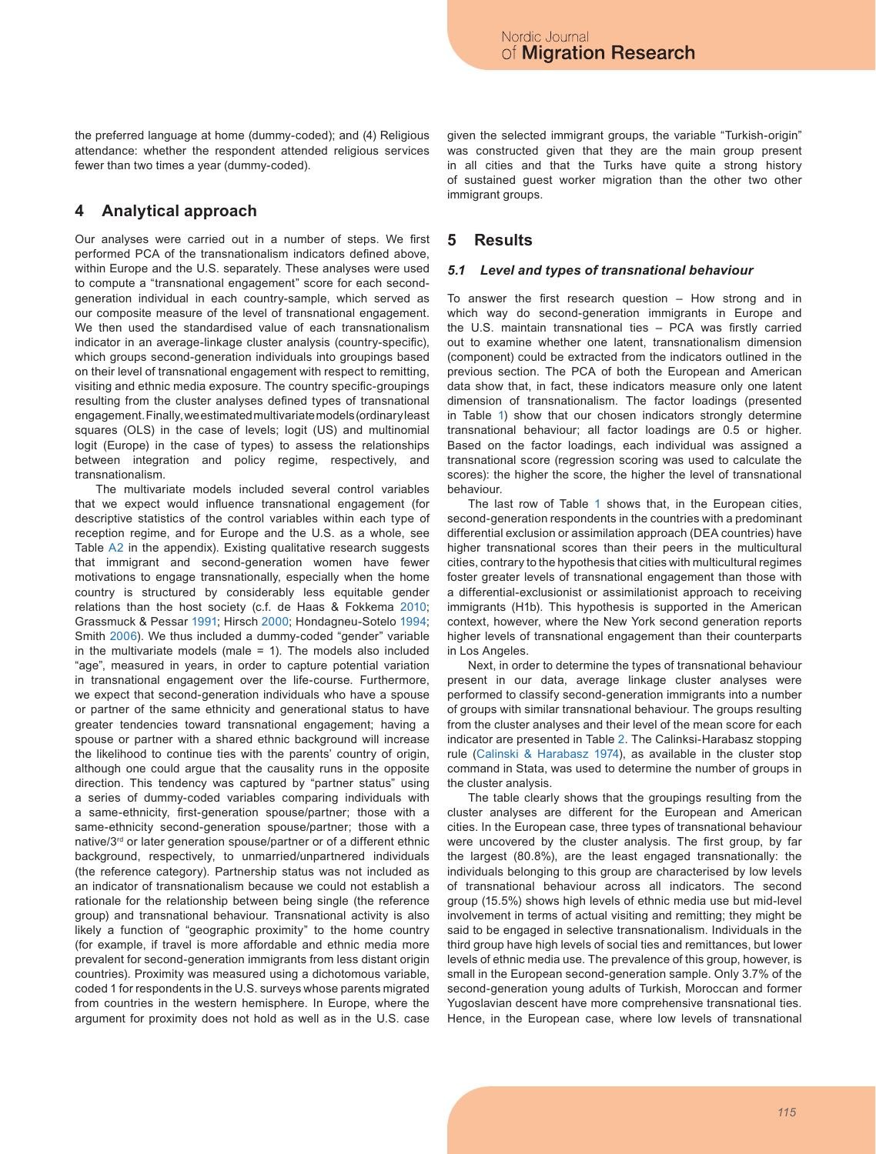the preferred language at home (dummy-coded); and (4) Religious attendance: whether the respondent attended religious services fewer than two times a year (dummy-coded).

### **4 Analytical approach**

Our analyses were carried out in a number of steps. We first performed PCA of the transnationalism indicators defined above, within Europe and the U.S. separately. These analyses were used to compute a "transnational engagement" score for each secondgeneration individual in each country-sample, which served as our composite measure of the level of transnational engagement. We then used the standardised value of each transnationalism indicator in an average-linkage cluster analysis (country-specific), which groups second-generation individuals into groupings based on their level of transnational engagement with respect to remitting, visiting and ethnic media exposure. The country specific-groupings resulting from the cluster analyses defined types of transnational engagement. Finally, we estimated multivariate models (ordinary least squares (OLS) in the case of levels; logit (US) and multinomial logit (Europe) in the case of types) to assess the relationships between integration and policy regime, respectively, and transnationalism.

The multivariate models included several control variables that we expect would influence transnational engagement (for descriptive statistics of the control variables within each type of reception regime, and for Europe and the U.S. as a whole, see Table [A](#page-10-0)2 in the appendix). Existing qualitative research suggests that immigrant and second-generation women have fewer motivations to engage transnationally, especially when the home country is structured by considerably less equitable gender relations than the host society (c.f. de Haas & Fokkema [2010](#page-11-19); Grassmuck & Pessar [1991](#page-11-20); Hirsch [2000](#page-11-21); Hondagneu-Sotelo [1994](#page-11-22); Smith [200](#page-12-15)6). We thus included a dummy-coded "gender" variable in the multivariate models (male = 1). The models also included "age", measured in years, in order to capture potential variation in transnational engagement over the life-course. Furthermore, we expect that second-generation individuals who have a spouse or partner of the same ethnicity and generational status to have greater tendencies toward transnational engagement; having a spouse or partner with a shared ethnic background will increase the likelihood to continue ties with the parents' country of origin, although one could argue that the causality runs in the opposite direction. This tendency was captured by "partner status" using a series of dummy-coded variables comparing individuals with a same-ethnicity, first-generation spouse/partner; those with a same-ethnicity second-generation spouse/partner; those with a native/3rd or later generation spouse/partner or of a different ethnic background, respectively, to unmarried/unpartnered individuals (the reference category). Partnership status was not included as an indicator of transnationalism because we could not establish a rationale for the relationship between being single (the reference group) and transnational behaviour. Transnational activity is also likely a function of "geographic proximity" to the home country (for example, if travel is more affordable and ethnic media more prevalent for second-generation immigrants from less distant origin countries). Proximity was measured using a dichotomous variable, coded 1 for respondents in the U.S. surveys whose parents migrated from countries in the western hemisphere. In Europe, where the argument for proximity does not hold as well as in the U.S. case given the selected immigrant groups, the variable "Turkish-origin" was constructed given that they are the main group present in all cities and that the Turks have quite a strong history of sustained guest worker migration than the other two other immigrant groups.

### **5 Results**

#### *5.1 Level and types of transnational behaviour*

To answer the first research question – How strong and in which way do second-generation immigrants in Europe and the U.S. maintain transnational ties – PCA was firstly carried out to examine whether one latent, transnationalism dimension (component) could be extracted from the indicators outlined in the previous section. The PCA of both the European and American data show that, in fact, these indicators measure only one latent dimension of transnationalism. The factor loadings (presented in Table [1\)](#page-5-0) show that our chosen indicators strongly determine transnational behaviour; all factor loadings are 0.5 or higher. Based on the factor loadings, each individual was assigned a transnational score (regression scoring was used to calculate the scores): the higher the score, the higher the level of transnational behaviour.

The last row of Table [1](#page-5-0) shows that, in the European cities, second-generation respondents in the countries with a predominant differential exclusion or assimilation approach (DEA countries) have higher transnational scores than their peers in the multicultural cities, contrary to the hypothesis that cities with multicultural regimes foster greater levels of transnational engagement than those with a differential-exclusionist or assimilationist approach to receiving immigrants (H1b). This hypothesis is supported in the American context, however, where the New York second generation reports higher levels of transnational engagement than their counterparts in Los Angeles.

Next, in order to determine the types of transnational behaviour present in our data, average linkage cluster analyses were performed to classify second-generation immigrants into a number of groups with similar transnational behaviour. The groups resulting from the cluster analyses and their level of the mean score for each indicator are presented in Table [2.](#page-5-1) The Calinksi-Harabasz stopping rule [\(Calinski & Harabasz 1974\)](#page-11-23), as available in the cluster stop command in Stata, was used to determine the number of groups in the cluster analysis.

The table clearly shows that the groupings resulting from the cluster analyses are different for the European and American cities. In the European case, three types of transnational behaviour were uncovered by the cluster analysis. The first group, by far the largest (80.8%), are the least engaged transnationally: the individuals belonging to this group are characterised by low levels of transnational behaviour across all indicators. The second group (15.5%) shows high levels of ethnic media use but mid-level involvement in terms of actual visiting and remitting; they might be said to be engaged in selective transnationalism. Individuals in the third group have high levels of social ties and remittances, but lower levels of ethnic media use. The prevalence of this group, however, is small in the European second-generation sample. Only 3.7% of the second-generation young adults of Turkish, Moroccan and former Yugoslavian descent have more comprehensive transnational ties. Hence, in the European case, where low levels of transnational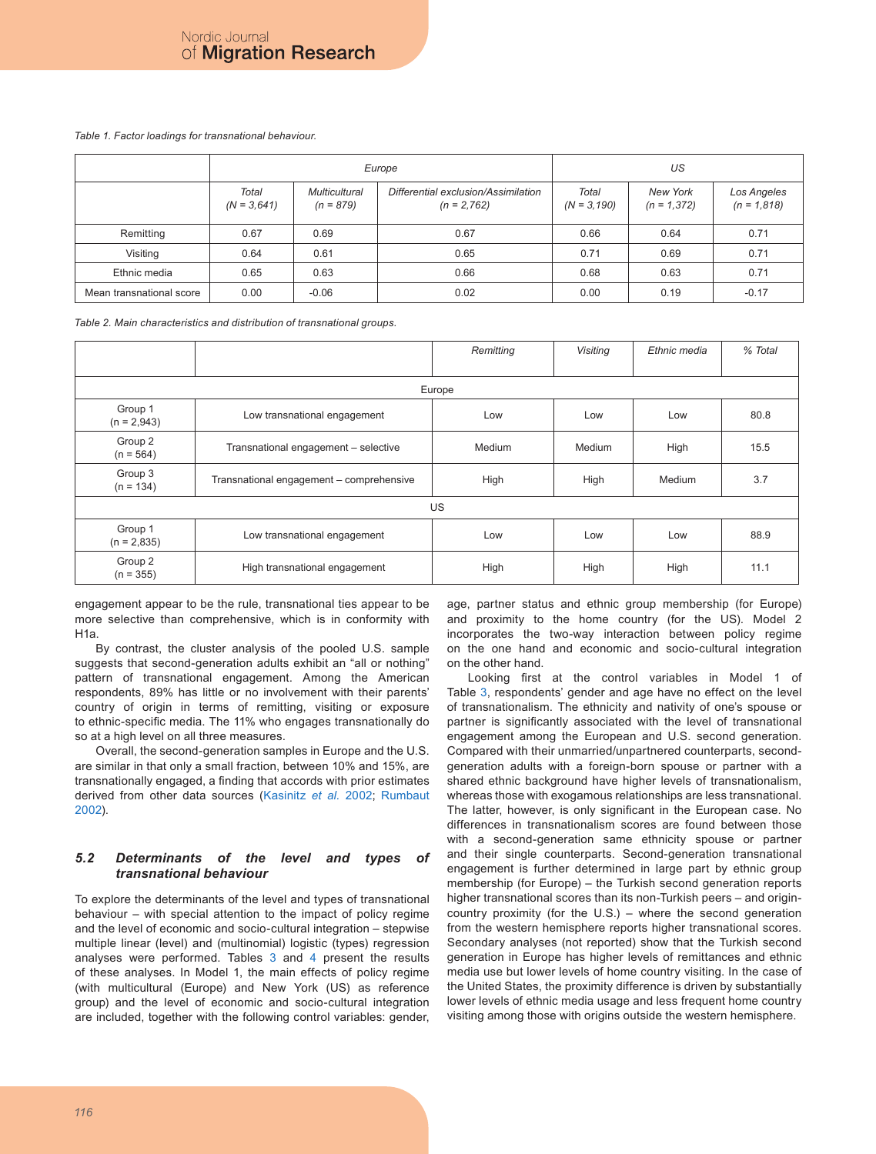#### <span id="page-5-0"></span>*Table 1. Factor loadings for transnational behaviour.*

|                          |                        |                                     | Europe                                               | US                      |                            |                              |  |  |
|--------------------------|------------------------|-------------------------------------|------------------------------------------------------|-------------------------|----------------------------|------------------------------|--|--|
|                          | Total<br>$(N = 3,641)$ | <b>Multicultural</b><br>$(n = 879)$ | Differential exclusion/Assimilation<br>$(n = 2,762)$ | Total<br>$(N = 3, 190)$ | New York<br>$(n = 1, 372)$ | Los Angeles<br>$(n = 1,818)$ |  |  |
| Remitting                | 0.67                   | 0.69                                | 0.67                                                 | 0.66                    | 0.64                       | 0.71                         |  |  |
| Visiting                 | 0.64                   | 0.61                                | 0.65                                                 | 0.71                    | 0.69                       | 0.71                         |  |  |
| Ethnic media             | 0.65                   | 0.63                                | 0.66                                                 | 0.68                    | 0.63                       | 0.71                         |  |  |
| Mean transnational score | 0.00                   | $-0.06$                             | 0.02                                                 | 0.00                    | 0.19                       | $-0.17$                      |  |  |

<span id="page-5-1"></span>*Table 2. Main characteristics and distribution of transnational groups.*

|                          |                                          | Remitting | <b>Visiting</b> | Ethnic media | % Total |  |  |  |  |  |
|--------------------------|------------------------------------------|-----------|-----------------|--------------|---------|--|--|--|--|--|
|                          |                                          |           |                 |              |         |  |  |  |  |  |
| Europe                   |                                          |           |                 |              |         |  |  |  |  |  |
| Group 1<br>$(n = 2,943)$ | Low transnational engagement             | Low       | Low             | Low          | 80.8    |  |  |  |  |  |
| Group 2<br>$(n = 564)$   | Transnational engagement - selective     | Medium    | Medium          | High         | 15.5    |  |  |  |  |  |
| Group 3<br>$(n = 134)$   | Transnational engagement - comprehensive | High      | High            | Medium       | 3.7     |  |  |  |  |  |
|                          |                                          | US.       |                 |              |         |  |  |  |  |  |
| Group 1<br>$(n = 2,835)$ | Low transnational engagement             | Low       | Low             | Low          | 88.9    |  |  |  |  |  |
| Group 2<br>$(n = 355)$   | High transnational engagement            | High      | High            | High         | 11.1    |  |  |  |  |  |

engagement appear to be the rule, transnational ties appear to be more selective than comprehensive, which is in conformity with H1a.

By contrast, the cluster analysis of the pooled U.S. sample suggests that second-generation adults exhibit an "all or nothing" pattern of transnational engagement. Among the American respondents, 89% has little or no involvement with their parents' country of origin in terms of remitting, visiting or exposure to ethnic-specific media. The 11% who engages transnationally do so at a high level on all three measures.

Overall, the second-generation samples in Europe and the U.S. are similar in that only a small fraction, between 10% and 15%, are transnationally engaged, a finding that accords with prior estimates derived from other data sources ([Kasinitz](#page-11-1) *et al.* 2002; [Rumbaut](#page-12-2) [2002](#page-12-2)).

#### *5.2 Determinants of the level and types of transnational behaviour*

To explore the determinants of the level and types of transnational behaviour – with special attention to the impact of policy regime and the level of economic and socio-cultural integration – stepwise multiple linear (level) and (multinomial) logistic (types) regression analyses were performed. Tables [3](#page-6-0) and [4](#page-7-0) present the results of these analyses. In Model 1, the main effects of policy regime (with multicultural (Europe) and New York (US) as reference group) and the level of economic and socio-cultural integration are included, together with the following control variables: gender, age, partner status and ethnic group membership (for Europe) and proximity to the home country (for the US). Model 2 incorporates the two-way interaction between policy regime on the one hand and economic and socio-cultural integration on the other hand.

Looking first at the control variables in Model 1 of Table [3](#page-6-0), respondents' gender and age have no effect on the level of transnationalism. The ethnicity and nativity of one's spouse or partner is significantly associated with the level of transnational engagement among the European and U.S. second generation. Compared with their unmarried/unpartnered counterparts, secondgeneration adults with a foreign-born spouse or partner with a shared ethnic background have higher levels of transnationalism, whereas those with exogamous relationships are less transnational. The latter, however, is only significant in the European case. No differences in transnationalism scores are found between those with a second-generation same ethnicity spouse or partner and their single counterparts. Second-generation transnational engagement is further determined in large part by ethnic group membership (for Europe) – the Turkish second generation reports higher transnational scores than its non-Turkish peers – and origincountry proximity (for the U.S.) – where the second generation from the western hemisphere reports higher transnational scores. Secondary analyses (not reported) show that the Turkish second generation in Europe has higher levels of remittances and ethnic media use but lower levels of home country visiting. In the case of the United States, the proximity difference is driven by substantially lower levels of ethnic media usage and less frequent home country visiting among those with origins outside the western hemisphere.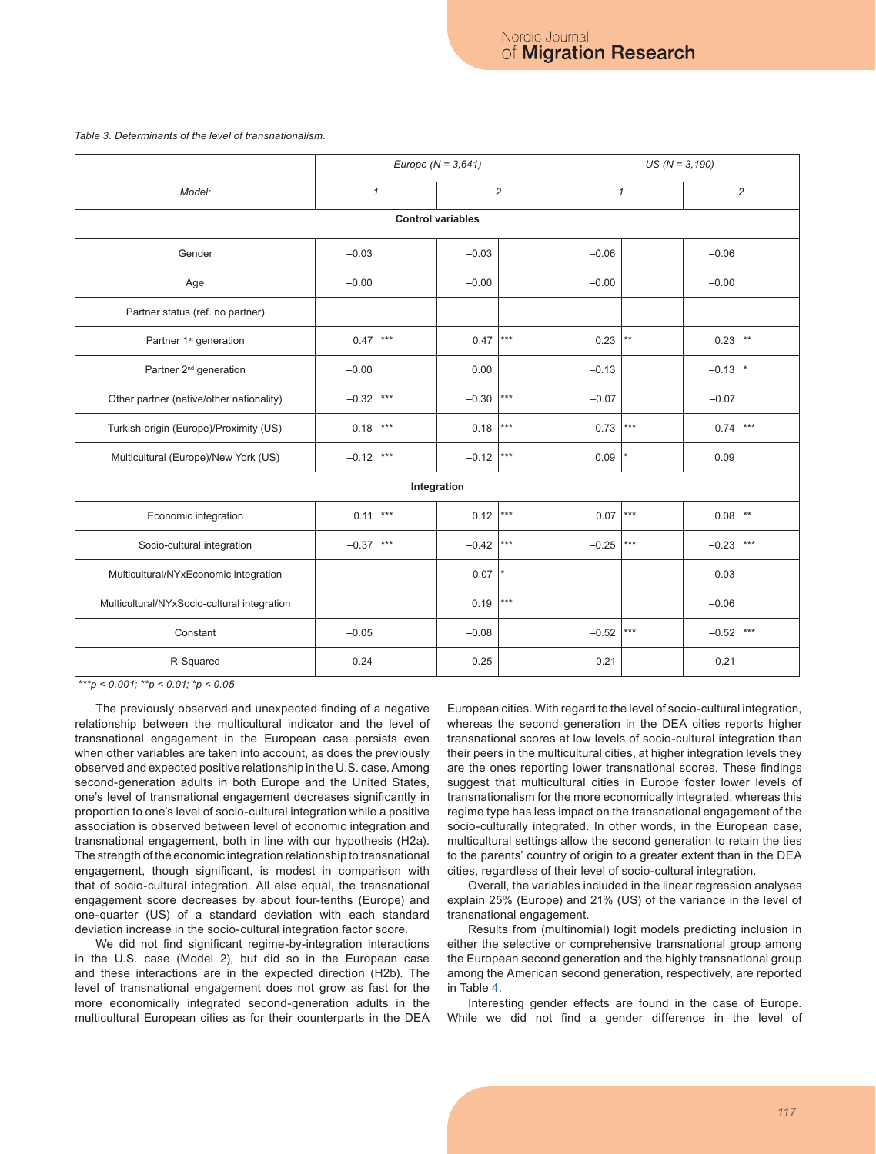#### <span id="page-6-0"></span>*Table 3. Determinants of the level of transnationalism.*

|                                             | Europe ( $N = 3,641$ ) |       |                | $US (N = 3,190)$  |              |              |                |                   |  |  |  |  |
|---------------------------------------------|------------------------|-------|----------------|-------------------|--------------|--------------|----------------|-------------------|--|--|--|--|
| Model:                                      | $\mathcal{I}$          |       | $\overline{c}$ |                   | $\mathcal I$ |              | $\overline{c}$ |                   |  |  |  |  |
| <b>Control variables</b>                    |                        |       |                |                   |              |              |                |                   |  |  |  |  |
| Gender                                      | $-0.03$                |       | $-0.03$        |                   | $-0.06$      |              | $-0.06$        |                   |  |  |  |  |
| Age                                         | $-0.00$                |       | $-0.00$        |                   | $-0.00$      |              | $-0.00$        |                   |  |  |  |  |
| Partner status (ref. no partner)            |                        |       |                |                   |              |              |                |                   |  |  |  |  |
| Partner 1 <sup>st</sup> generation          | 0.47                   | ***   | 0.47           | ***               | 0.23         | $\star\star$ | 0.23           | $**$              |  |  |  |  |
| Partner 2 <sup>nd</sup> generation          | $-0.00$                |       | 0.00           |                   | $-0.13$      |              | $-0.13$        |                   |  |  |  |  |
| Other partner (native/other nationality)    | $-0.32$                | $***$ | $-0.30$        | $***$             | $-0.07$      |              | $-0.07$        |                   |  |  |  |  |
| Turkish-origin (Europe)/Proximity (US)      | 0.18                   | ***   | 0.18           | $\star\star\star$ | 0.73         | ***          | 0.74           | $\star\star\star$ |  |  |  |  |
| Multicultural (Europe)/New York (US)        | $-0.12$                | $***$ | $-0.12$        | $***$             | 0.09         |              | 0.09           |                   |  |  |  |  |
|                                             |                        |       | Integration    |                   |              |              |                |                   |  |  |  |  |
| Economic integration                        | 0.11                   | $***$ | 0.12           | $***$             | 0.07         | ***          | 0.08           | $**$              |  |  |  |  |
| Socio-cultural integration                  | $-0.37$                | $***$ | $-0.42$        | $***$             | $-0.25$      | ***          | $-0.23$        | $***$             |  |  |  |  |
| Multicultural/NYxEconomic integration       |                        |       | $-0.07$        | $\vert$ *         |              |              | $-0.03$        |                   |  |  |  |  |
| Multicultural/NYxSocio-cultural integration |                        |       | 0.19           | $***$             |              |              | $-0.06$        |                   |  |  |  |  |
| Constant                                    | $-0.05$                |       | $-0.08$        |                   | $-0.52$      | ***          | $-0.52$        | $***$             |  |  |  |  |
| R-Squared                                   | 0.24                   |       | 0.25           |                   | 0.21         |              | 0.21           |                   |  |  |  |  |

 *\*\*\*p < 0.001; \*\*p < 0.01; \*p < 0.05*

The previously observed and unexpected finding of a negative relationship between the multicultural indicator and the level of transnational engagement in the European case persists even when other variables are taken into account, as does the previously observed and expected positive relationship in the U.S. case. Among second-generation adults in both Europe and the United States, one's level of transnational engagement decreases significantly in proportion to one's level of socio-cultural integration while a positive association is observed between level of economic integration and transnational engagement, both in line with our hypothesis (H2a). The strength of the economic integration relationship to transnational engagement, though significant, is modest in comparison with that of socio-cultural integration. All else equal, the transnational engagement score decreases by about four-tenths (Europe) and one-quarter (US) of a standard deviation with each standard deviation increase in the socio-cultural integration factor score.

We did not find significant regime-by-integration interactions in the U.S. case (Model 2), but did so in the European case and these interactions are in the expected direction (H2b). The level of transnational engagement does not grow as fast for the more economically integrated second-generation adults in the multicultural European cities as for their counterparts in the DEA

European cities. With regard to the level of socio-cultural integration, whereas the second generation in the DEA cities reports higher transnational scores at low levels of socio-cultural integration than their peers in the multicultural cities, at higher integration levels they are the ones reporting lower transnational scores. These findings suggest that multicultural cities in Europe foster lower levels of transnationalism for the more economically integrated, whereas this regime type has less impact on the transnational engagement of the socio-culturally integrated. In other words, in the European case, multicultural settings allow the second generation to retain the ties to the parents' country of origin to a greater extent than in the DEA cities, regardless of their level of socio-cultural integration.

Overall, the variables included in the linear regression analyses explain 25% (Europe) and 21% (US) of the variance in the level of transnational engagement.

Results from (multinomial) logit models predicting inclusion in either the selective or comprehensive transnational group among the European second generation and the highly transnational group among the American second generation, respectively, are reported in Table [4](#page-7-0).

Interesting gender effects are found in the case of Europe. While we did not find a gender difference in the level of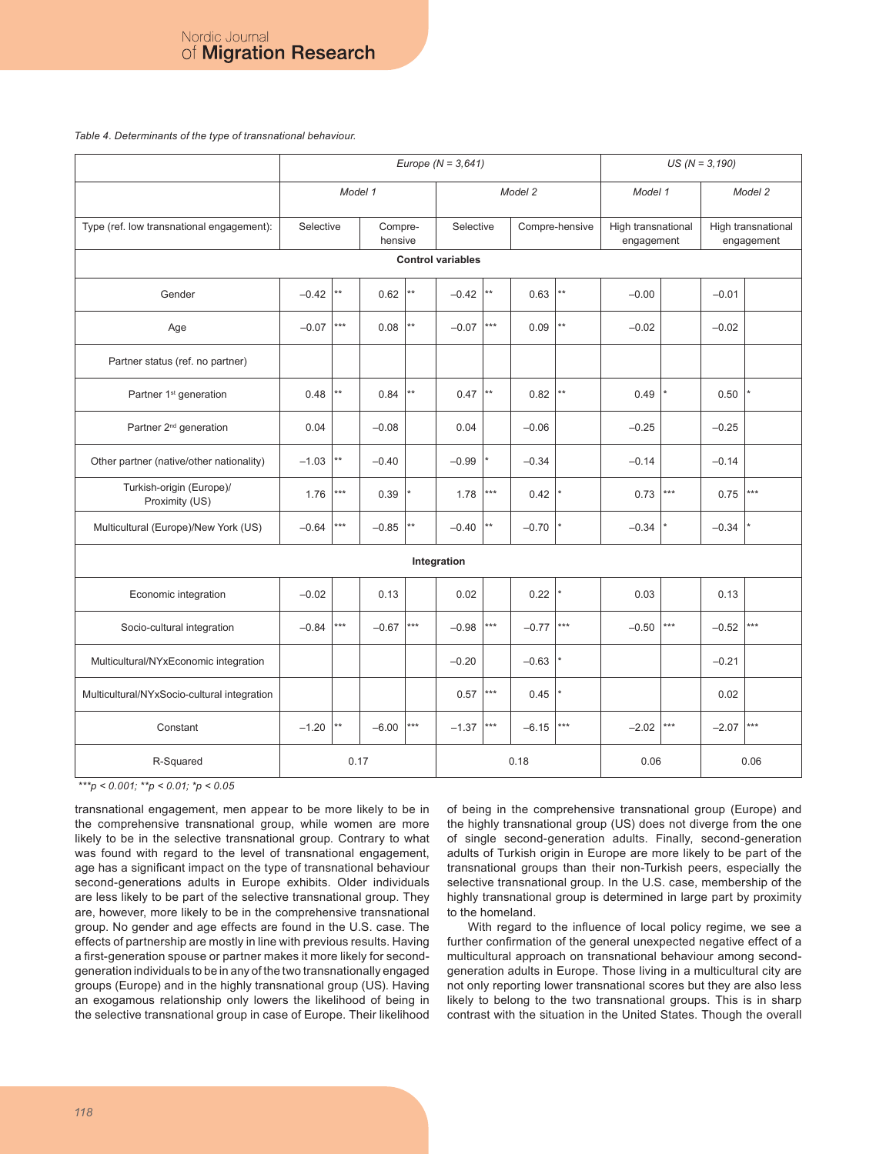<span id="page-7-0"></span>*Table 4. Determinants of the type of transnational behaviour.*

|                                             | Europe ( $N = 3,641$ ) |              |         |                    |             |                   |             |                 | $US (N = 3, 190)$                |                   |         |                                  |
|---------------------------------------------|------------------------|--------------|---------|--------------------|-------------|-------------------|-------------|-----------------|----------------------------------|-------------------|---------|----------------------------------|
|                                             | Model 1                |              |         |                    | Model 2     |                   |             | Model 1         |                                  | Model 2           |         |                                  |
| Type (ref. low transnational engagement):   |                        | Selective    |         | Compre-<br>hensive |             | Selective         |             | Compre-hensive  | High transnational<br>engagement |                   |         | High transnational<br>engagement |
| <b>Control variables</b>                    |                        |              |         |                    |             |                   |             |                 |                                  |                   |         |                                  |
| Gender                                      | $-0.42$                | **           | 0.62    | **                 | $-0.42$     | $**$              | 0.63        | $^{\star\star}$ | $-0.00$                          |                   | $-0.01$ |                                  |
| Age                                         | $-0.07$                | ***          | 0.08    | **                 | $-0.07$     | $***$             | 0.09        | $^{\star\star}$ | $-0.02$                          |                   | $-0.02$ |                                  |
| Partner status (ref. no partner)            |                        |              |         |                    |             |                   |             |                 |                                  |                   |         |                                  |
| Partner 1 <sup>st</sup> generation          | 0.48                   | **           | 0.84    | $\star\star$       | 0.47        | $**$              | 0.82        | $\star\star$    | 0.49                             |                   | 0.50    |                                  |
| Partner 2 <sup>nd</sup> generation          | 0.04                   |              | $-0.08$ |                    | 0.04        |                   | $-0.06$     |                 | $-0.25$                          |                   | $-0.25$ |                                  |
| Other partner (native/other nationality)    | $-1.03$                | $\star\star$ | $-0.40$ |                    | $-0.99$     |                   | $-0.34$     |                 | $-0.14$                          |                   | $-0.14$ |                                  |
| Turkish-origin (Europe)/<br>Proximity (US)  | 1.76                   | ***          | 0.39    |                    | 1.78        | $***$             | 0.42        |                 | 0.73                             | $***$             | 0.75    | $***$                            |
| Multicultural (Europe)/New York (US)        | $-0.64$                | $***$        | $-0.85$ | $\star\star$       | $-0.40$     | $**$              | $-0.70$     |                 | $-0.34$                          |                   | $-0.34$ |                                  |
|                                             |                        |              |         |                    | Integration |                   |             |                 |                                  |                   |         |                                  |
| Economic integration                        | $-0.02$                |              | 0.13    |                    | 0.02        |                   | 0.22        |                 | 0.03                             |                   | 0.13    |                                  |
| Socio-cultural integration                  | $-0.84$                | $***$        | $-0.67$ | $***$              | $-0.98$     | $\star\star\star$ | $-0.77$ *** |                 | $-0.50$                          | $\star\star\star$ | $-0.52$ | $***$                            |
| Multicultural/NYxEconomic integration       |                        |              |         |                    | $-0.20$     |                   | $-0.63$     |                 |                                  |                   | $-0.21$ |                                  |
| Multicultural/NYxSocio-cultural integration |                        |              |         |                    | 0.57        | $***$             | 0.45        |                 |                                  |                   | 0.02    |                                  |
| Constant                                    | $-1.20$                | **           | $-6.00$ | $***$              | $-1.37$     | $***$             | $-6.15$ *** |                 | $-2.02$                          | $\star\star\star$ | $-2.07$ | $***$                            |
| R-Squared                                   |                        | 0.17         |         |                    | 0.18        |                   |             | 0.06            |                                  | 0.06              |         |                                  |

 *\*\*\*p < 0.001; \*\*p < 0.01; \*p < 0.05*

transnational engagement, men appear to be more likely to be in the comprehensive transnational group, while women are more likely to be in the selective transnational group. Contrary to what was found with regard to the level of transnational engagement, age has a significant impact on the type of transnational behaviour second-generations adults in Europe exhibits. Older individuals are less likely to be part of the selective transnational group. They are, however, more likely to be in the comprehensive transnational group. No gender and age effects are found in the U.S. case. The effects of partnership are mostly in line with previous results. Having a first-generation spouse or partner makes it more likely for secondgeneration individuals to be in any of the two transnationally engaged groups (Europe) and in the highly transnational group (US). Having an exogamous relationship only lowers the likelihood of being in the selective transnational group in case of Europe. Their likelihood

of being in the comprehensive transnational group (Europe) and the highly transnational group (US) does not diverge from the one of single second-generation adults. Finally, second-generation adults of Turkish origin in Europe are more likely to be part of the transnational groups than their non-Turkish peers, especially the selective transnational group. In the U.S. case, membership of the highly transnational group is determined in large part by proximity to the homeland.

With regard to the influence of local policy regime, we see a further confirmation of the general unexpected negative effect of a multicultural approach on transnational behaviour among secondgeneration adults in Europe. Those living in a multicultural city are not only reporting lower transnational scores but they are also less likely to belong to the two transnational groups. This is in sharp contrast with the situation in the United States. Though the overall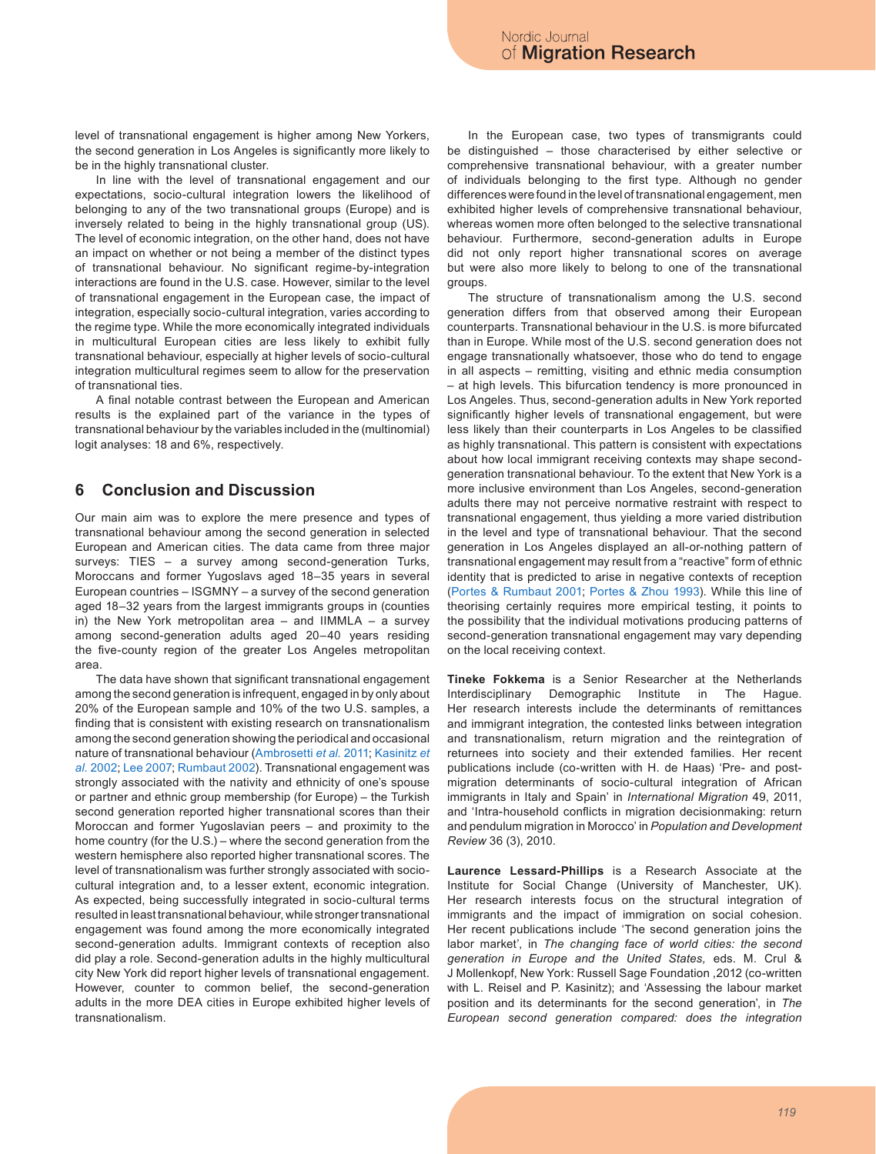level of transnational engagement is higher among New Yorkers, the second generation in Los Angeles is significantly more likely to be in the highly transnational cluster.

In line with the level of transnational engagement and our expectations, socio-cultural integration lowers the likelihood of belonging to any of the two transnational groups (Europe) and is inversely related to being in the highly transnational group (US). The level of economic integration, on the other hand, does not have an impact on whether or not being a member of the distinct types of transnational behaviour. No significant regime-by-integration interactions are found in the U.S. case. However, similar to the level of transnational engagement in the European case, the impact of integration, especially socio-cultural integration, varies according to the regime type. While the more economically integrated individuals in multicultural European cities are less likely to exhibit fully transnational behaviour, especially at higher levels of socio-cultural integration multicultural regimes seem to allow for the preservation of transnational ties.

A final notable contrast between the European and American results is the explained part of the variance in the types of transnational behaviour by the variables included in the (multinomial) logit analyses: 18 and 6%, respectively.

### **6 Conclusion and Discussion**

Our main aim was to explore the mere presence and types of transnational behaviour among the second generation in selected European and American cities. The data came from three major surveys: TIES – a survey among second-generation Turks, Moroccans and former Yugoslavs aged 18–35 years in several European countries – ISGMNY – a survey of the second generation aged 18–32 years from the largest immigrants groups in (counties in) the New York metropolitan area  $-$  and IIMMLA  $-$  a survey among second-generation adults aged 20–40 years residing the five-county region of the greater Los Angeles metropolitan area.

The data have shown that significant transnational engagement among the second generation is infrequent, engaged in by only about 20% of the European sample and 10% of the two U.S. samples, a finding that is consistent with existing research on transnationalism among the second generation showing the periodical and occasional nature of transnational behaviour ([Ambrosetti](#page-11-24) *et al.* 2011; [Kasinitz](#page-11-1) *et al.* [2002](#page-11-1); [Lee 2007](#page-11-25); [Rumbaut 2002\)](#page-12-2). Transnational engagement was strongly associated with the nativity and ethnicity of one's spouse or partner and ethnic group membership (for Europe) – the Turkish second generation reported higher transnational scores than their Moroccan and former Yugoslavian peers – and proximity to the home country (for the U.S.) – where the second generation from the western hemisphere also reported higher transnational scores. The level of transnationalism was further strongly associated with sociocultural integration and, to a lesser extent, economic integration. As expected, being successfully integrated in socio-cultural terms resulted in least transnational behaviour, while stronger transnational engagement was found among the more economically integrated second-generation adults. Immigrant contexts of reception also did play a role. Second-generation adults in the highly multicultural city New York did report higher levels of transnational engagement. However, counter to common belief, the second-generation adults in the more DEA cities in Europe exhibited higher levels of transnationalism.

In the European case, two types of transmigrants could be distinguished – those characterised by either selective or comprehensive transnational behaviour, with a greater number of individuals belonging to the first type. Although no gender differences were found in the level of transnational engagement, men exhibited higher levels of comprehensive transnational behaviour, whereas women more often belonged to the selective transnational behaviour. Furthermore, second-generation adults in Europe did not only report higher transnational scores on average but were also more likely to belong to one of the transnational groups.

The structure of transnationalism among the U.S. second generation differs from that observed among their European counterparts. Transnational behaviour in the U.S. is more bifurcated than in Europe. While most of the U.S. second generation does not engage transnationally whatsoever, those who do tend to engage in all aspects – remitting, visiting and ethnic media consumption – at high levels. This bifurcation tendency is more pronounced in Los Angeles. Thus, second-generation adults in New York reported significantly higher levels of transnational engagement, but were less likely than their counterparts in Los Angeles to be classified as highly transnational. This pattern is consistent with expectations about how local immigrant receiving contexts may shape secondgeneration transnational behaviour. To the extent that New York is a more inclusive environment than Los Angeles, second-generation adults there may not perceive normative restraint with respect to transnational engagement, thus yielding a more varied distribution in the level and type of transnational behaviour. That the second generation in Los Angeles displayed an all-or-nothing pattern of transnational engagement may result from a "reactive" form of ethnic identity that is predicted to arise in negative contexts of reception ([Portes & Rumbaut 2001](#page-12-16); [Portes & Zhou 1993\)](#page-12-17). While this line of theorising certainly requires more empirical testing, it points to the possibility that the individual motivations producing patterns of second-generation transnational engagement may vary depending on the local receiving context.

**Tineke Fokkema** is a Senior Researcher at the Netherlands Interdisciplinary Demographic Institute in The Hague. Her research interests include the determinants of remittances and immigrant integration, the contested links between integration and transnationalism, return migration and the reintegration of returnees into society and their extended families. Her recent publications include (co-written with H. de Haas) 'Pre- and postmigration determinants of socio-cultural integration of African immigrants in Italy and Spain' in *International Migration* 49, 2011, and 'Intra-household conflicts in migration decisionmaking: return and pendulum migration in Morocco' in *Population and Development Review* 36 (3), 2010.

**Laurence Lessard-Phillips** is a Research Associate at the Institute for Social Change (University of Manchester, UK). Her research interests focus on the structural integration of immigrants and the impact of immigration on social cohesion. Her recent publications include 'The second generation joins the labor market', in *The changing face of world cities: the second generation in Europe and the United States,* eds. M. Crul & J Mollenkopf, New York: Russell Sage Foundation ,2012 (co-written with L. Reisel and P. Kasinitz); and 'Assessing the labour market position and its determinants for the second generation', in *The European second generation compared: does the integration*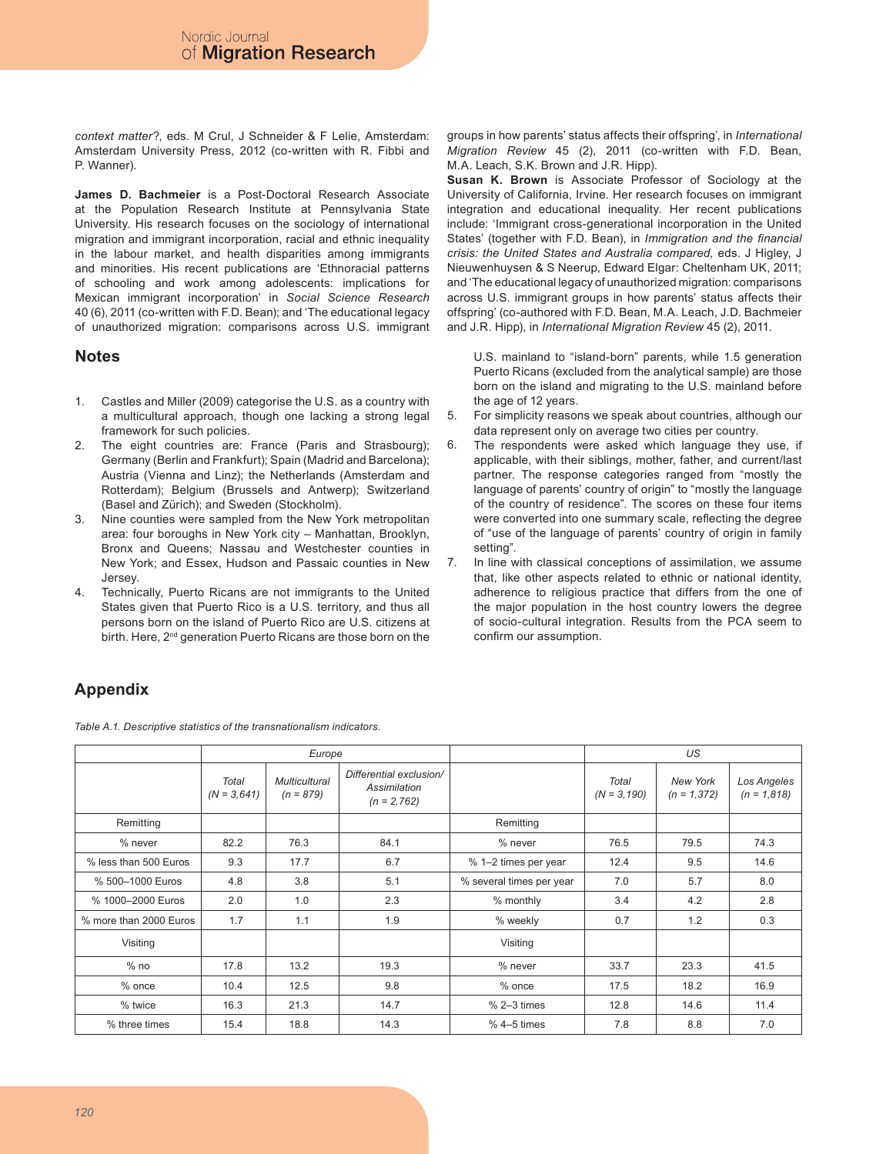*context matter*?, eds. M Crul, J Schneider & F Lelie, Amsterdam: Amsterdam University Press, 2012 (co-written with R. Fibbi and P. Wanner).

**James D. Bachmeier** is a Post-Doctoral Research Associate at the Population Research Institute at Pennsylvania State University. His research focuses on the sociology of international migration and immigrant incorporation, racial and ethnic inequality in the labour market, and health disparities among immigrants and minorities. His recent publications are 'Ethnoracial patterns of schooling and work among adolescents: implications for Mexican immigrant incorporation' in *Social Science Research* 40 (6), 2011 (co-written with F.D. Bean); and 'The educational legacy of unauthorized migration: comparisons across U.S. immigrant

### **Notes**

- Castles and Miller (2009) categorise the U.S. as a country with a multicultural approach, though one lacking a strong legal framework for such policies. 1.
- The eight countries are: France (Paris and Strasbourg); Germany (Berlin and Frankfurt); Spain (Madrid and Barcelona); Austria (Vienna and Linz); the Netherlands (Amsterdam and Rotterdam); Belgium (Brussels and Antwerp); Switzerland (Basel and Zürich); and Sweden (Stockholm). 2.
- Nine counties were sampled from the New York metropolitan area: four boroughs in New York city – Manhattan, Brooklyn, Bronx and Queens; Nassau and Westchester counties in New York; and Essex, Hudson and Passaic counties in New Jersey. 3.
- Technically, Puerto Ricans are not immigrants to the United States given that Puerto Rico is a U.S. territory, and thus all persons born on the island of Puerto Rico are U.S. citizens at birth. Here, 2<sup>nd</sup> generation Puerto Ricans are those born on the 4.

groups in how parents' status affects their offspring', in *International Migration Review* 45 (2), 2011 (co-written with F.D. Bean, M.A. Leach, S.K. Brown and J.R. Hipp).

**Susan K. Brown** is Associate Professor of Sociology at the University of California, Irvine. Her research focuses on immigrant integration and educational inequality. Her recent publications include: 'Immigrant cross-generational incorporation in the United States' (together with F.D. Bean), in *Immigration and the financial crisis: the United States and Australia compared,* eds. J Higley, J Nieuwenhuysen & S Neerup, Edward Elgar: Cheltenham UK, 2011; and 'The educational legacy of unauthorized migration: comparisons across U.S. immigrant groups in how parents' status affects their offspring' (co-authored with F.D. Bean, M.A. Leach, J.D. Bachmeier and J.R. Hipp), in *International Migration Review* 45 (2), 2011.

U.S. mainland to "island-born" parents, while 1.5 generation Puerto Ricans (excluded from the analytical sample) are those born on the island and migrating to the U.S. mainland before the age of 12 years.

- For simplicity reasons we speak about countries, although our data represent only on average two cities per country. 5.
- The respondents were asked which language they use, if applicable, with their siblings, mother, father, and current/last partner. The response categories ranged from "mostly the language of parents' country of origin" to "mostly the language of the country of residence". The scores on these four items were converted into one summary scale, reflecting the degree of "use of the language of parents' country of origin in family setting". 6.
- In line with classical conceptions of assimilation, we assume that, like other aspects related to ethnic or national identity, adherence to religious practice that differs from the one of the major population in the host country lowers the degree of socio-cultural integration. Results from the PCA seem to confirm our assumption. 7.

# **Appendix**

<span id="page-9-0"></span>*Table A.1. Descriptive statistics of the transnationalism indicators.*

|                        |                        | Europe                              |                                                          |                          | US                      |                           |                              |
|------------------------|------------------------|-------------------------------------|----------------------------------------------------------|--------------------------|-------------------------|---------------------------|------------------------------|
|                        | Total<br>$(N = 3,641)$ | <b>Multicultural</b><br>$(n = 879)$ | Differential exclusion/<br>Assimilation<br>$(n = 2,762)$ |                          | Total<br>$(N = 3, 190)$ | New York<br>$(n = 1,372)$ | Los Angeles<br>$(n = 1,818)$ |
| Remitting              |                        |                                     |                                                          | Remitting                |                         |                           |                              |
| % never                | 82.2                   | 76.3                                | 84.1                                                     | % never                  | 76.5                    | 79.5                      | 74.3                         |
| % less than 500 Euros  | 9.3                    | 17.7                                | 6.7                                                      | % 1-2 times per year     | 12.4                    | 9.5                       | 14.6                         |
| % 500-1000 Euros       | 4.8                    | 3.8                                 | 5.1                                                      | % several times per year | 7.0                     | 5.7                       | 8.0                          |
| % 1000-2000 Euros      | 2.0                    | 1.0                                 | 2.3                                                      | % monthly                | 3.4                     | 4.2                       | 2.8                          |
| % more than 2000 Euros | 1.7                    | 1.1                                 | 1.9                                                      | % weekly                 | 0.7                     | 1.2                       | 0.3                          |
| Visiting               |                        |                                     |                                                          | Visiting                 |                         |                           |                              |
| $%$ no                 | 17.8                   | 13.2                                | 19.3                                                     | % never                  | 33.7                    | 23.3                      | 41.5                         |
| % once                 | 10.4                   | 12.5                                | 9.8                                                      | % once                   | 17.5                    | 18.2                      | 16.9                         |
| % twice                | 16.3                   | 21.3                                | 14.7                                                     | $% 2-3$ times            | 12.8                    | 14.6                      | 11.4                         |
| % three times          | 15.4                   | 18.8                                | 14.3                                                     | $%4-5$ times             | 7.8                     | 8.8                       | 7.0                          |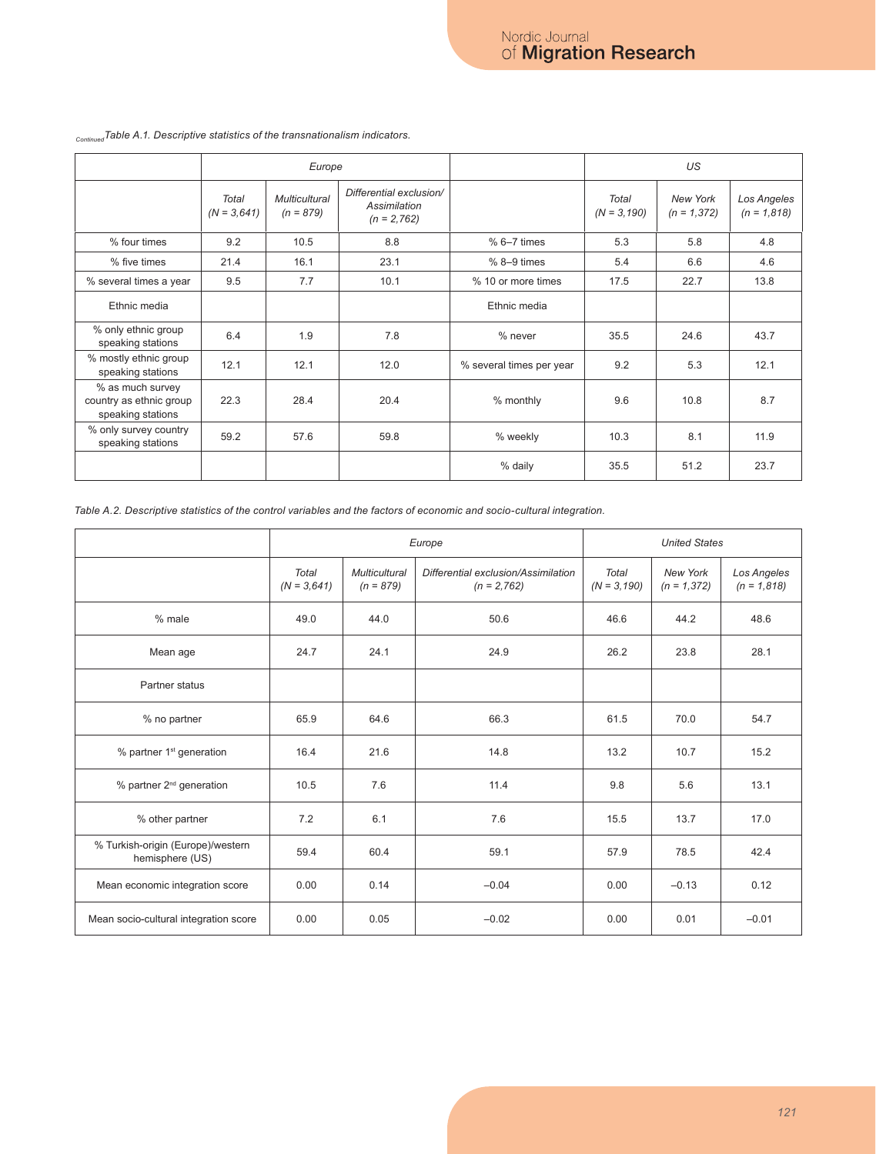|                                                                  |                               | Europe                              |                                                          |                          |                        | US                        |                              |
|------------------------------------------------------------------|-------------------------------|-------------------------------------|----------------------------------------------------------|--------------------------|------------------------|---------------------------|------------------------------|
|                                                                  | <b>Total</b><br>$(N = 3,641)$ | <b>Multicultural</b><br>$(n = 879)$ | Differential exclusion/<br>Assimilation<br>$(n = 2,762)$ |                          | Total<br>$(N = 3,190)$ | New York<br>$(n = 1,372)$ | Los Angeles<br>$(n = 1,818)$ |
| % four times                                                     | 9.2                           | 10.5                                | 8.8                                                      | $% 6-7$ times            | 5.3                    | 5.8                       | 4.8                          |
| % five times                                                     | 21.4                          | 16.1                                | 23.1                                                     | $%8-9$ times             | 5.4                    | 6.6                       | 4.6                          |
| % several times a year                                           | 9.5                           | 7.7                                 | 10.1                                                     | % 10 or more times       | 17.5                   | 22.7                      | 13.8                         |
| Ethnic media                                                     |                               |                                     |                                                          | Ethnic media             |                        |                           |                              |
| % only ethnic group<br>speaking stations                         | 6.4                           | 1.9                                 | 7.8                                                      | % never                  | 35.5                   | 24.6                      | 43.7                         |
| % mostly ethnic group<br>speaking stations                       | 12.1                          | 12.1                                | 12.0                                                     | % several times per year | 9.2                    | 5.3                       | 12.1                         |
| % as much survey<br>country as ethnic group<br>speaking stations | 22.3                          | 28.4                                | 20.4                                                     | % monthly                | 9.6                    | 10.8                      | 8.7                          |
| % only survey country<br>speaking stations                       | 59.2                          | 57.6                                | 59.8                                                     | % weekly                 | 10.3                   | 8.1                       | 11.9                         |
|                                                                  |                               |                                     |                                                          | % daily                  | 35.5                   | 51.2                      | 23.7                         |

### *ContinuedTable A.1. Descriptive statistics of the transnationalism indicators.*

<span id="page-10-0"></span>*Table A.2. Descriptive statistics of the control variables and the factors of economic and socio-cultural integration.*

|                                                      |                        |                              | Europe                                               | <b>United States</b>    |                            |                              |  |
|------------------------------------------------------|------------------------|------------------------------|------------------------------------------------------|-------------------------|----------------------------|------------------------------|--|
|                                                      | Total<br>$(N = 3.641)$ | Multicultural<br>$(n = 879)$ | Differential exclusion/Assimilation<br>$(n = 2,762)$ | Total<br>$(N = 3, 190)$ | New York<br>$(n = 1, 372)$ | Los Angeles<br>$(n = 1,818)$ |  |
| % male                                               | 49.0                   | 44.0                         | 50.6                                                 | 46.6                    | 44.2                       | 48.6                         |  |
| Mean age                                             | 24.7                   | 24.1                         | 24.9                                                 | 26.2                    | 23.8                       | 28.1                         |  |
| Partner status                                       |                        |                              |                                                      |                         |                            |                              |  |
| % no partner                                         | 65.9                   | 64.6                         | 66.3                                                 | 61.5                    | 70.0                       | 54.7                         |  |
| % partner 1 <sup>st</sup> generation                 | 16.4                   | 21.6                         | 14.8                                                 | 13.2                    | 10.7                       | 15.2                         |  |
| % partner 2 <sup>nd</sup> generation                 | 10.5                   | 7.6                          | 11.4                                                 | 9.8                     | 5.6                        | 13.1                         |  |
| % other partner                                      | 7.2                    | 6.1                          | 7.6                                                  | 15.5                    | 13.7                       | 17.0                         |  |
| % Turkish-origin (Europe)/western<br>hemisphere (US) | 59.4                   | 60.4                         | 59.1                                                 | 57.9                    | 78.5                       | 42.4                         |  |
| Mean economic integration score                      | 0.00                   | 0.14                         | $-0.04$                                              | 0.00                    | $-0.13$                    | 0.12                         |  |
| Mean socio-cultural integration score                | 0.00                   | 0.05                         | $-0.02$                                              | 0.00                    | 0.01                       | $-0.01$                      |  |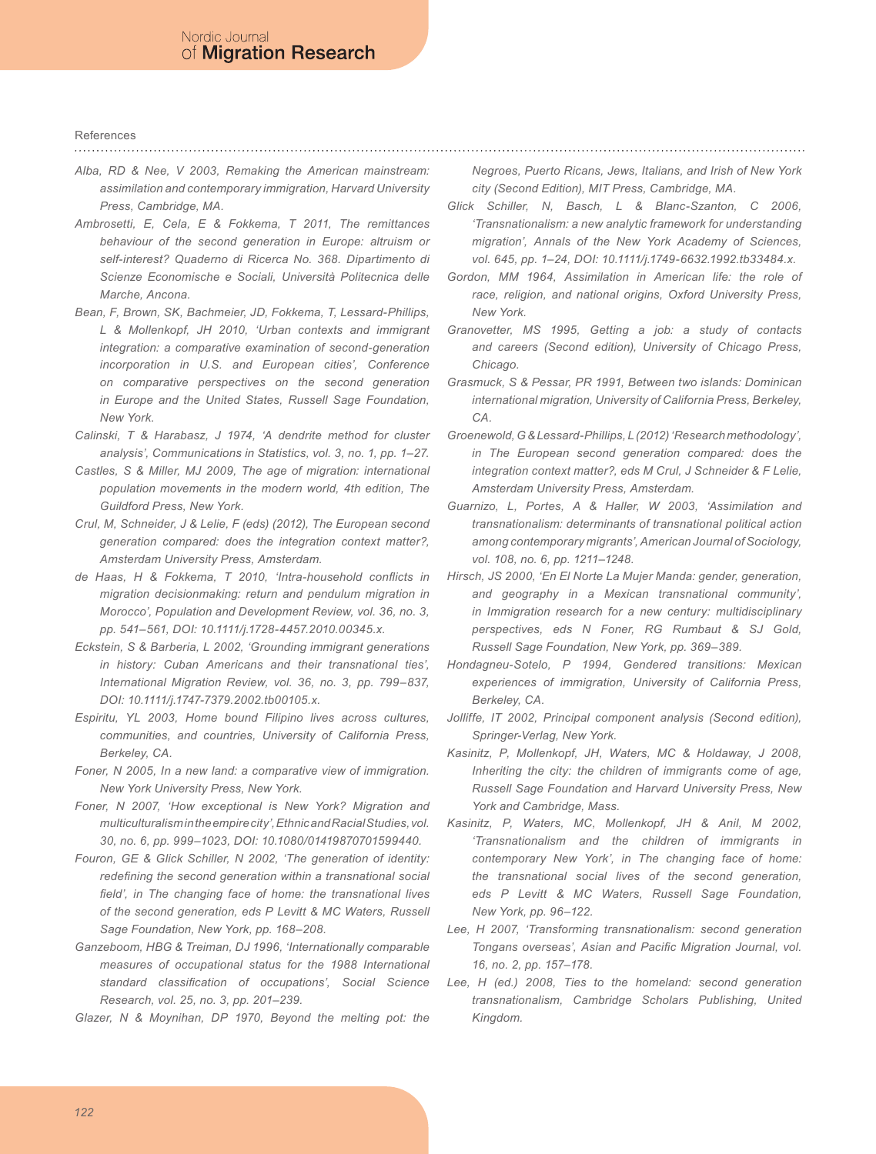# References

- <span id="page-11-8"></span>*Alba, RD & Nee, V 2003, Remaking the American mainstream: assimilation and contemporary immigration, Harvard University Press, Cambridge, MA.*
- <span id="page-11-24"></span>*Ambrosetti, E, Cela, E & Fokkema, T 2011, The remittances behaviour of the second generation in Europe: altruism or self-interest? Quaderno di Ricerca No. 368. Dipartimento di Scienze Economische e Sociali, Università Politecnica delle Marche, Ancona.*
- <span id="page-11-16"></span>*Bean, F, Brown, SK, Bachmeier, JD, Fokkema, T, Lessard-Phillips, L & Mollenkopf, JH 2010, 'Urban contexts and immigrant integration: a comparative examination of second-generation incorporation in U.S. and European cities', Conference on comparative perspectives on the second generation in Europe and the United States, Russell Sage Foundation, New York.*
- <span id="page-11-23"></span>*Calinski, T & Harabasz, J 1974, 'A dendrite method for cluster analysis', Communications in Statistics, vol. 3, no. 1, pp. 1–27.*
- <span id="page-11-12"></span>*Castles, S & Miller, MJ 2009, The age of migration: international population movements in the modern world, 4th edition, The Guildford Press, New York.*
- <span id="page-11-13"></span>*Crul, M, Schneider, J & Lelie, F (eds) (2012), The European second generation compared: does the integration context matter?, Amsterdam University Press, Amsterdam.*
- <span id="page-11-19"></span>*de Haas, H & Fokkema, T 2010, 'Intra-household conflicts in migration decisionmaking: return and pendulum migration in Morocco', Population and Development Review, vol. 36, no. 3, pp. 541–561, DOI: 10.1111/j.1728-4457.2010.00345.x.*
- <span id="page-11-4"></span>*Eckstein, S & Barberia, L 2002, 'Grounding immigrant generations in history: Cuban Americans and their transnational ties', International Migration Review, vol. 36, no. 3, pp. 799–837, DOI: 10.1111/j.1747-7379.2002.tb00105.x.*
- <span id="page-11-5"></span>*Espiritu, YL 2003, Home bound Filipino lives across cultures, communities, and countries, University of California Press, Berkeley, CA.*
- <span id="page-11-6"></span>*Foner, N 2005, In a new land: a comparative view of immigration. New York University Press, New York.*
- <span id="page-11-14"></span>*Foner, N 2007, 'How exceptional is New York? Migration and multiculturalism in the empire city', Ethnic and Racial Studies, vol. 30, no. 6, pp. 999–1023, DOI: 10.1080/01419870701599440.*
- <span id="page-11-7"></span>*Fouron, GE & Glick Schiller, N 2002, 'The generation of identity: redefining the second generation within a transnational social field', in The changing face of home: the transnational lives of the second generation, eds P Levitt & MC Waters, Russell Sage Foundation, New York, pp. 168–208.*
- <span id="page-11-18"></span>*Ganzeboom, HBG & Treiman, DJ 1996, 'Internationally comparable measures of occupational status for the 1988 International standard classification of occupations', Social Science Research, vol. 25, no. 3, pp. 201–239.*
- <span id="page-11-15"></span>*Glazer, N & Moynihan, DP 1970, Beyond the melting pot: the*

*Negroes, Puerto Ricans, Jews, Italians, and Irish of New York city (Second Edition), MIT Press, Cambridge, MA.*

- <span id="page-11-0"></span>*Glick Schiller, N, Basch, L & Blanc-Szanton, C 2006, 'Transnationalism: a new analytic framework for understanding migration', Annals of the New York Academy of Sciences, vol. 645, pp. 1–24, DOI: 10.1111/j.1749-6632.1992.tb33484.x.*
- <span id="page-11-9"></span>*Gordon, MM 1964, Assimilation in American life: the role of race, religion, and national origins, Oxford University Press, New York.*
- <span id="page-11-10"></span>*Granovetter, MS 1995, Getting a job: a study of contacts and careers (Second edition), University of Chicago Press, Chicago.*
- <span id="page-11-20"></span>*Grasmuck, S & Pessar, PR 1991, Between two islands: Dominican international migration, University of California Press, Berkeley, CA.*
- *Groenewold, G & Lessard-Phillips, L (2012) 'Research methodology', in The European second generation compared: does the integration context matter?, eds M Crul, J Schneider & F Lelie, Amsterdam University Press, Amsterdam.*
- <span id="page-11-11"></span>*Guarnizo, L, Portes, A & Haller, W 2003, 'Assimilation and transnationalism: determinants of transnational political action among contemporary migrants', American Journal of Sociology, vol. 108, no. 6, pp. 1211–1248.*
- <span id="page-11-21"></span>*Hirsch, JS 2000, 'En El Norte La Mujer Manda: gender, generation, and geography in a Mexican transnational community', in Immigration research for a new century: multidisciplinary perspectives, eds N Foner, RG Rumbaut & SJ Gold, Russell Sage Foundation, New York, pp. 369–389.*
- <span id="page-11-22"></span>*Hondagneu-Sotelo, P 1994, Gendered transitions: Mexican experiences of immigration, University of California Press, Berkeley, CA.*
- <span id="page-11-17"></span>Jolliffe, IT 2002, Principal component analysis (Second edition), *Springer-Verlag, New York.*
- <span id="page-11-2"></span>*Kasinitz, P, Mollenkopf, JH, Waters, MC & Holdaway, J 2008, Inheriting the city: the children of immigrants come of age, Russell Sage Foundation and Harvard University Press, New York and Cambridge, Mass.*
- <span id="page-11-1"></span>*Kasinitz, P, Waters, MC, Mollenkopf, JH & Anil, M 2002, 'Transnationalism and the children of immigrants in contemporary New York', in The changing face of home: the transnational social lives of the second generation, eds P Levitt & MC Waters, Russell Sage Foundation, New York, pp. 96–122.*
- <span id="page-11-25"></span>*Lee, H 2007, 'Transforming transnationalism: second generation Tongans overseas', Asian and Pacific Migration Journal, vol. 16, no. 2, pp. 157–178.*
- <span id="page-11-3"></span>*Lee, H (ed.) 2008, Ties to the homeland: second generation transnationalism, Cambridge Scholars Publishing, United Kingdom.*